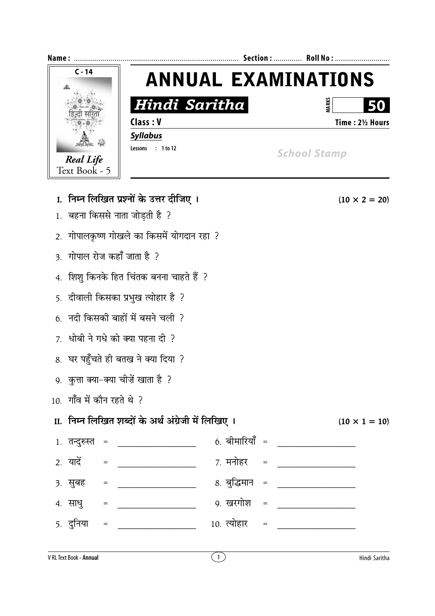